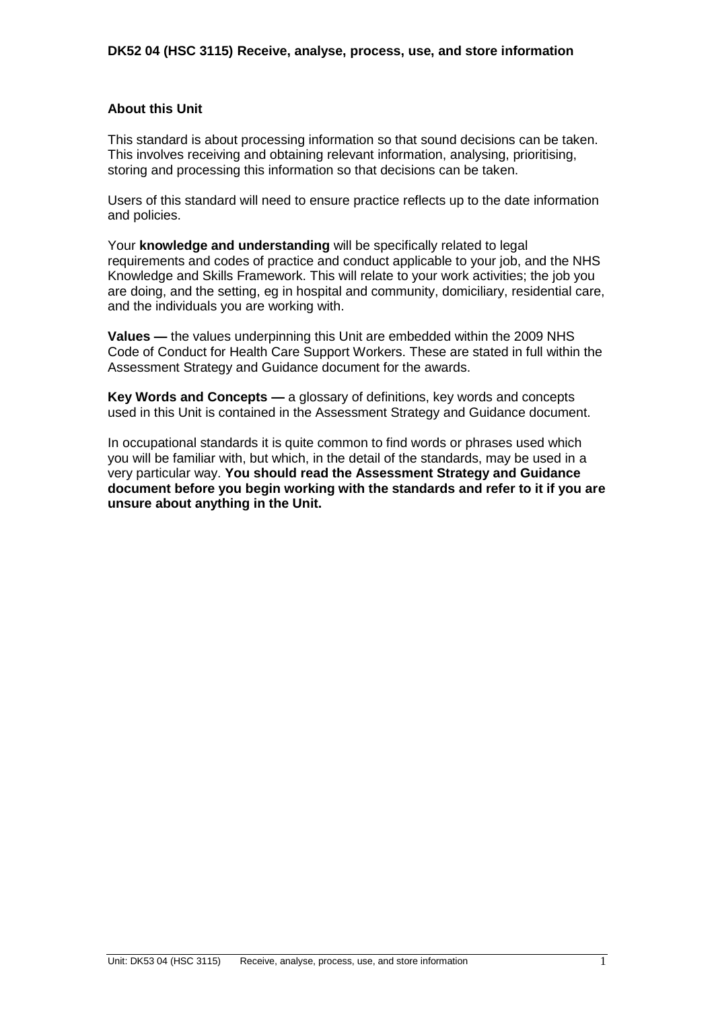## **About this Unit**

This standard is about processing information so that sound decisions can be taken. This involves receiving and obtaining relevant information, analysing, prioritising, storing and processing this information so that decisions can be taken.

Users of this standard will need to ensure practice reflects up to the date information and policies.

Your **knowledge and understanding** will be specifically related to legal requirements and codes of practice and conduct applicable to your job, and the NHS Knowledge and Skills Framework. This will relate to your work activities; the job you are doing, and the setting, eg in hospital and community, domiciliary, residential care, and the individuals you are working with.

**Values —** the values underpinning this Unit are embedded within the 2009 NHS Code of Conduct for Health Care Support Workers. These are stated in full within the Assessment Strategy and Guidance document for the awards.

**Key Words and Concepts —** a glossary of definitions, key words and concepts used in this Unit is contained in the Assessment Strategy and Guidance document.

In occupational standards it is quite common to find words or phrases used which you will be familiar with, but which, in the detail of the standards, may be used in a very particular way. **You should read the Assessment Strategy and Guidance document before you begin working with the standards and refer to it if you are unsure about anything in the Unit.**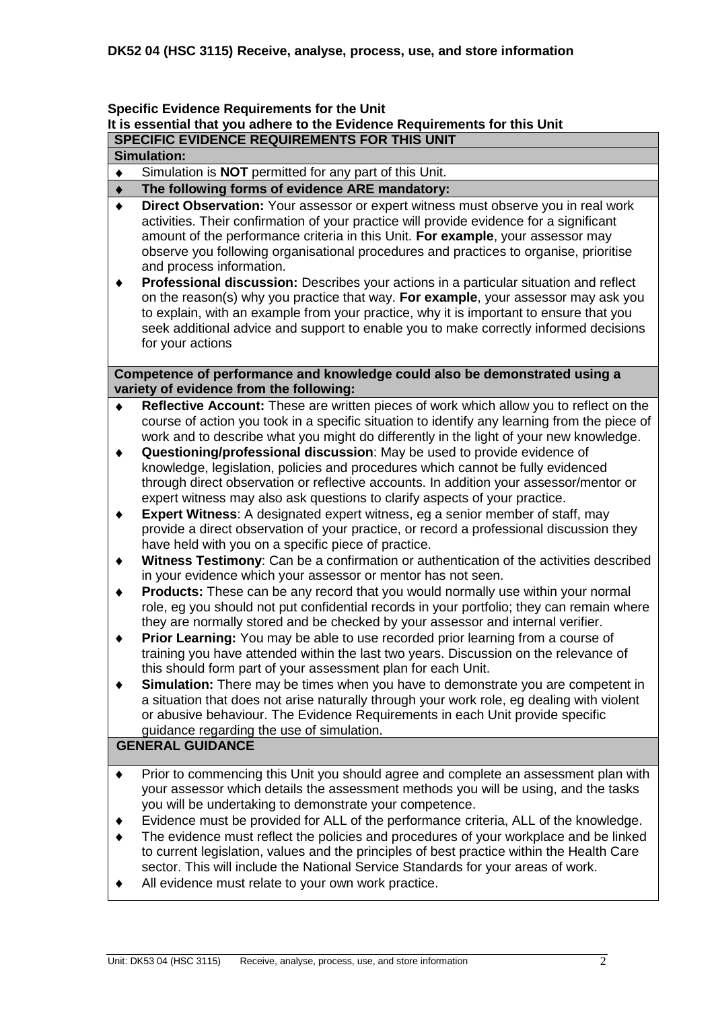## **Specific Evidence Requirements for the Unit It is essential that you adhere to the Evidence Requirements for this Unit SPECIFIC EVIDENCE REQUIREMENTS FOR THIS UNIT**

#### **Simulation:**

Simulation is **NOT** permitted for any part of this Unit.  $\bullet$ 

#### **The following forms of evidence ARE mandatory:**  $\bullet$

- **Direct Observation:** Your assessor or expert witness must observe you in real work  $\blacklozenge$ activities. Their confirmation of your practice will provide evidence for a significant amount of the performance criteria in this Unit. **For example**, your assessor may observe you following organisational procedures and practices to organise, prioritise and process information.
- **Professional discussion:** Describes your actions in a particular situation and reflect  $\blacklozenge$ on the reason(s) why you practice that way. **For example**, your assessor may ask you to explain, with an example from your practice, why it is important to ensure that you seek additional advice and support to enable you to make correctly informed decisions for your actions

#### **Competence of performance and knowledge could also be demonstrated using a variety of evidence from the following:**

- **Reflective Account:** These are written pieces of work which allow you to reflect on the  $\bullet$ course of action you took in a specific situation to identify any learning from the piece of work and to describe what you might do differently in the light of your new knowledge.
- $\ddot{\bullet}$ **Questioning/professional discussion**: May be used to provide evidence of knowledge, legislation, policies and procedures which cannot be fully evidenced through direct observation or reflective accounts. In addition your assessor/mentor or expert witness may also ask questions to clarify aspects of your practice.
- **Expert Witness**: A designated expert witness, eg a senior member of staff, may  $\ddot{\bullet}$ provide a direct observation of your practice, or record a professional discussion they have held with you on a specific piece of practice.
- **Witness Testimony**: Can be a confirmation or authentication of the activities described  $\ddot{\bullet}$ in your evidence which your assessor or mentor has not seen.
- **Products:** These can be any record that you would normally use within your normal  $\blacklozenge$ role, eg you should not put confidential records in your portfolio; they can remain where they are normally stored and be checked by your assessor and internal verifier.
- $\ddot{\bullet}$ **Prior Learning:** You may be able to use recorded prior learning from a course of training you have attended within the last two years. Discussion on the relevance of this should form part of your assessment plan for each Unit.
- **Simulation:** There may be times when you have to demonstrate you are competent in  $\bullet$ a situation that does not arise naturally through your work role, eg dealing with violent or abusive behaviour. The Evidence Requirements in each Unit provide specific guidance regarding the use of simulation.

# **GENERAL GUIDANCE**

- Prior to commencing this Unit you should agree and complete an assessment plan with  $\blacklozenge$ your assessor which details the assessment methods you will be using, and the tasks you will be undertaking to demonstrate your competence.
- Evidence must be provided for ALL of the performance criteria, ALL of the knowledge.  $\bullet$
- The evidence must reflect the policies and procedures of your workplace and be linked to current legislation, values and the principles of best practice within the Health Care sector. This will include the National Service Standards for your areas of work.
- All evidence must relate to your own work practice.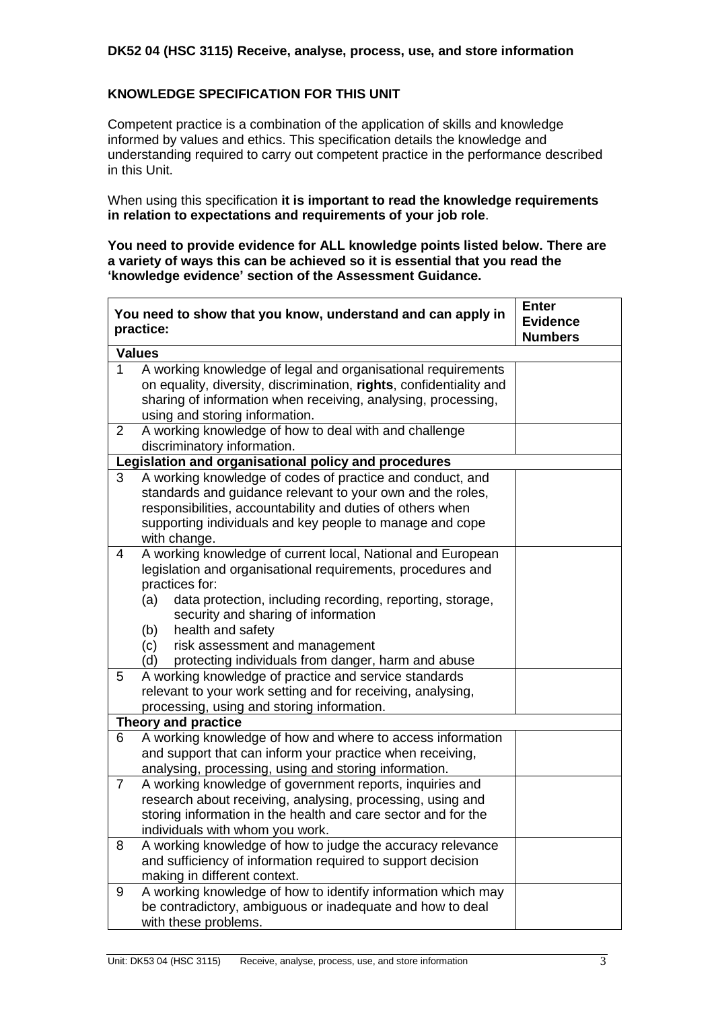## **DK52 04 (HSC 3115) Receive, analyse, process, use, and store information**

# **KNOWLEDGE SPECIFICATION FOR THIS UNIT**

 $\mathbf{r}$ 

Competent practice is a combination of the application of skills and knowledge informed by values and ethics. This specification details the knowledge and understanding required to carry out competent practice in the performance described in this Unit.

When using this specification **it is important to read the knowledge requirements in relation to expectations and requirements of your job role**.

**You need to provide evidence for ALL knowledge points listed below. There are a variety of ways this can be achieved so it is essential that you read the 'knowledge evidence' section of the Assessment Guidance.**

|                | You need to show that you know, understand and can apply in<br>practice:                                                                                                                                                                                                                                                                                                                  | <b>Enter</b><br><b>Evidence</b><br><b>Numbers</b> |
|----------------|-------------------------------------------------------------------------------------------------------------------------------------------------------------------------------------------------------------------------------------------------------------------------------------------------------------------------------------------------------------------------------------------|---------------------------------------------------|
|                | <b>Values</b>                                                                                                                                                                                                                                                                                                                                                                             |                                                   |
| $\mathbf{1}$   | A working knowledge of legal and organisational requirements<br>on equality, diversity, discrimination, rights, confidentiality and<br>sharing of information when receiving, analysing, processing,<br>using and storing information.                                                                                                                                                    |                                                   |
| $\overline{2}$ | A working knowledge of how to deal with and challenge                                                                                                                                                                                                                                                                                                                                     |                                                   |
|                | discriminatory information.                                                                                                                                                                                                                                                                                                                                                               |                                                   |
|                | Legislation and organisational policy and procedures                                                                                                                                                                                                                                                                                                                                      |                                                   |
| 3              | A working knowledge of codes of practice and conduct, and<br>standards and guidance relevant to your own and the roles,<br>responsibilities, accountability and duties of others when<br>supporting individuals and key people to manage and cope<br>with change.                                                                                                                         |                                                   |
| 4              | A working knowledge of current local, National and European<br>legislation and organisational requirements, procedures and<br>practices for:<br>(a)<br>data protection, including recording, reporting, storage,<br>security and sharing of information<br>health and safety<br>(b)<br>risk assessment and management<br>(c)<br>protecting individuals from danger, harm and abuse<br>(d) |                                                   |
| 5              | A working knowledge of practice and service standards<br>relevant to your work setting and for receiving, analysing,<br>processing, using and storing information.                                                                                                                                                                                                                        |                                                   |
|                | <b>Theory and practice</b>                                                                                                                                                                                                                                                                                                                                                                |                                                   |
| 6              | A working knowledge of how and where to access information<br>and support that can inform your practice when receiving,<br>analysing, processing, using and storing information.                                                                                                                                                                                                          |                                                   |
| $\overline{7}$ | A working knowledge of government reports, inquiries and<br>research about receiving, analysing, processing, using and<br>storing information in the health and care sector and for the<br>individuals with whom you work.                                                                                                                                                                |                                                   |
| 8              | A working knowledge of how to judge the accuracy relevance<br>and sufficiency of information required to support decision<br>making in different context.                                                                                                                                                                                                                                 |                                                   |
| 9              | A working knowledge of how to identify information which may<br>be contradictory, ambiguous or inadequate and how to deal<br>with these problems.                                                                                                                                                                                                                                         |                                                   |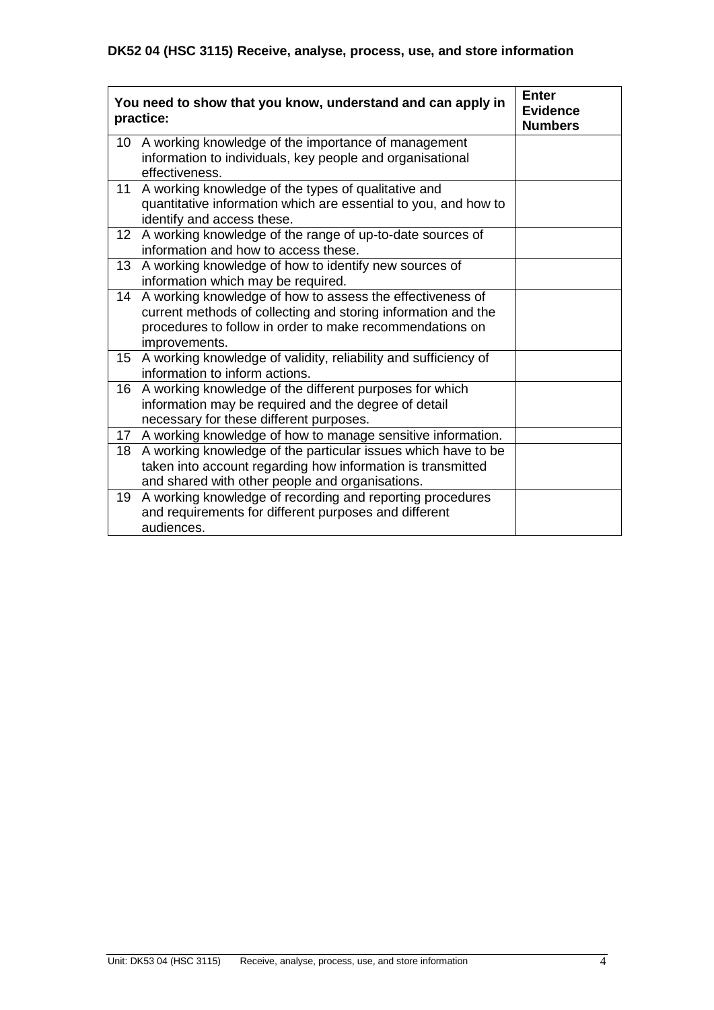|                 | You need to show that you know, understand and can apply in<br>practice:                          | <b>Enter</b><br><b>Evidence</b><br><b>Numbers</b> |
|-----------------|---------------------------------------------------------------------------------------------------|---------------------------------------------------|
| 10              | A working knowledge of the importance of management                                               |                                                   |
|                 | information to individuals, key people and organisational                                         |                                                   |
|                 | effectiveness.                                                                                    |                                                   |
| 11              | A working knowledge of the types of qualitative and                                               |                                                   |
|                 | quantitative information which are essential to you, and how to                                   |                                                   |
|                 | identify and access these.                                                                        |                                                   |
| 12 <sup>°</sup> | A working knowledge of the range of up-to-date sources of                                         |                                                   |
|                 | information and how to access these.                                                              |                                                   |
| 13              | A working knowledge of how to identify new sources of                                             |                                                   |
|                 | information which may be required.                                                                |                                                   |
| 14              | A working knowledge of how to assess the effectiveness of                                         |                                                   |
|                 | current methods of collecting and storing information and the                                     |                                                   |
|                 | procedures to follow in order to make recommendations on                                          |                                                   |
|                 | improvements.                                                                                     |                                                   |
| 15 <sub>1</sub> | A working knowledge of validity, reliability and sufficiency of<br>information to inform actions. |                                                   |
| 16              | A working knowledge of the different purposes for which                                           |                                                   |
|                 | information may be required and the degree of detail                                              |                                                   |
|                 | necessary for these different purposes.                                                           |                                                   |
| 17              | A working knowledge of how to manage sensitive information.                                       |                                                   |
| 18              | A working knowledge of the particular issues which have to be                                     |                                                   |
|                 | taken into account regarding how information is transmitted                                       |                                                   |
|                 | and shared with other people and organisations.                                                   |                                                   |
| 19              | A working knowledge of recording and reporting procedures                                         |                                                   |
|                 | and requirements for different purposes and different                                             |                                                   |
|                 | audiences.                                                                                        |                                                   |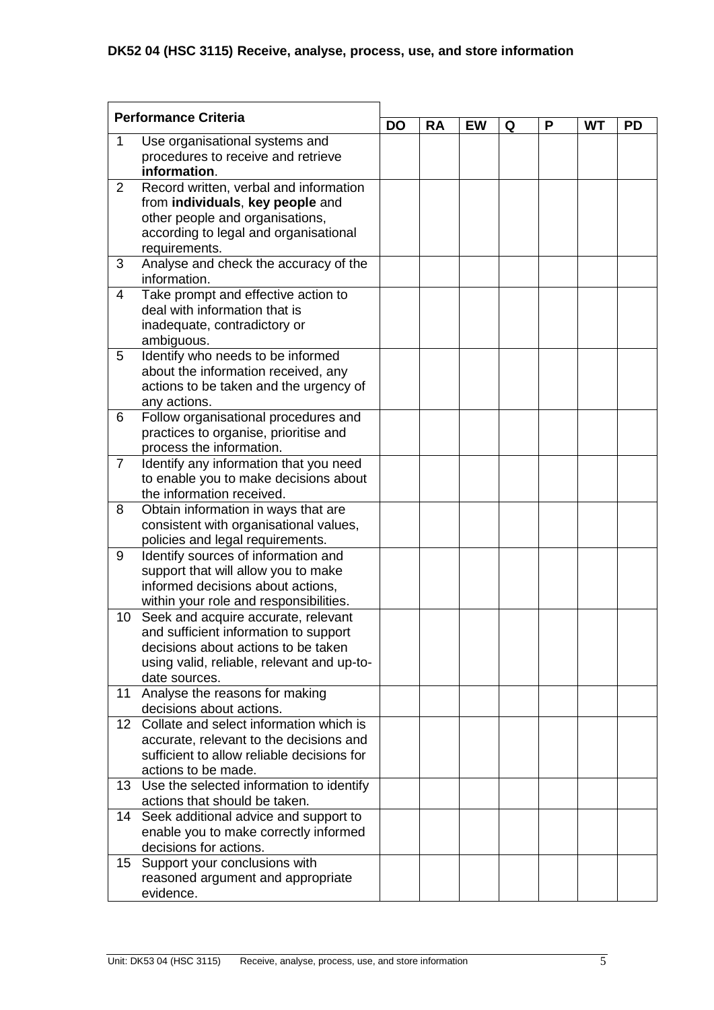| <b>Performance Criteria</b> |                                            |           |           |           |   |   |           |           |
|-----------------------------|--------------------------------------------|-----------|-----------|-----------|---|---|-----------|-----------|
|                             |                                            | <b>DO</b> | <b>RA</b> | <b>EW</b> | Q | Ρ | <b>WT</b> | <b>PD</b> |
| $\mathbf{1}$                | Use organisational systems and             |           |           |           |   |   |           |           |
|                             | procedures to receive and retrieve         |           |           |           |   |   |           |           |
|                             | information.                               |           |           |           |   |   |           |           |
| 2                           | Record written, verbal and information     |           |           |           |   |   |           |           |
|                             | from individuals, key people and           |           |           |           |   |   |           |           |
|                             | other people and organisations,            |           |           |           |   |   |           |           |
|                             | according to legal and organisational      |           |           |           |   |   |           |           |
|                             | requirements.                              |           |           |           |   |   |           |           |
| 3                           | Analyse and check the accuracy of the      |           |           |           |   |   |           |           |
|                             | information.                               |           |           |           |   |   |           |           |
| 4                           | Take prompt and effective action to        |           |           |           |   |   |           |           |
|                             | deal with information that is              |           |           |           |   |   |           |           |
|                             | inadequate, contradictory or               |           |           |           |   |   |           |           |
|                             | ambiguous.                                 |           |           |           |   |   |           |           |
| 5                           | Identify who needs to be informed          |           |           |           |   |   |           |           |
|                             | about the information received, any        |           |           |           |   |   |           |           |
|                             | actions to be taken and the urgency of     |           |           |           |   |   |           |           |
|                             | any actions.                               |           |           |           |   |   |           |           |
| 6                           | Follow organisational procedures and       |           |           |           |   |   |           |           |
|                             | practices to organise, prioritise and      |           |           |           |   |   |           |           |
|                             | process the information.                   |           |           |           |   |   |           |           |
| $\overline{7}$              | Identify any information that you need     |           |           |           |   |   |           |           |
|                             | to enable you to make decisions about      |           |           |           |   |   |           |           |
|                             | the information received.                  |           |           |           |   |   |           |           |
| 8                           | Obtain information in ways that are        |           |           |           |   |   |           |           |
|                             | consistent with organisational values,     |           |           |           |   |   |           |           |
|                             | policies and legal requirements.           |           |           |           |   |   |           |           |
| 9                           | Identify sources of information and        |           |           |           |   |   |           |           |
|                             | support that will allow you to make        |           |           |           |   |   |           |           |
|                             | informed decisions about actions,          |           |           |           |   |   |           |           |
|                             | within your role and responsibilities.     |           |           |           |   |   |           |           |
| 10 <sup>°</sup>             | Seek and acquire accurate, relevant        |           |           |           |   |   |           |           |
|                             | and sufficient information to support      |           |           |           |   |   |           |           |
|                             | decisions about actions to be taken        |           |           |           |   |   |           |           |
|                             | using valid, reliable, relevant and up-to- |           |           |           |   |   |           |           |
|                             | date sources.                              |           |           |           |   |   |           |           |
| 11                          | Analyse the reasons for making             |           |           |           |   |   |           |           |
|                             | decisions about actions.                   |           |           |           |   |   |           |           |
| 12 <sup>°</sup>             | Collate and select information which is    |           |           |           |   |   |           |           |
|                             | accurate, relevant to the decisions and    |           |           |           |   |   |           |           |
|                             | sufficient to allow reliable decisions for |           |           |           |   |   |           |           |
|                             | actions to be made.                        |           |           |           |   |   |           |           |
| 13                          | Use the selected information to identify   |           |           |           |   |   |           |           |
|                             | actions that should be taken.              |           |           |           |   |   |           |           |
| 14                          | Seek additional advice and support to      |           |           |           |   |   |           |           |
|                             | enable you to make correctly informed      |           |           |           |   |   |           |           |
|                             | decisions for actions.                     |           |           |           |   |   |           |           |
| 15 <sub>1</sub>             | Support your conclusions with              |           |           |           |   |   |           |           |
|                             | reasoned argument and appropriate          |           |           |           |   |   |           |           |
|                             | evidence.                                  |           |           |           |   |   |           |           |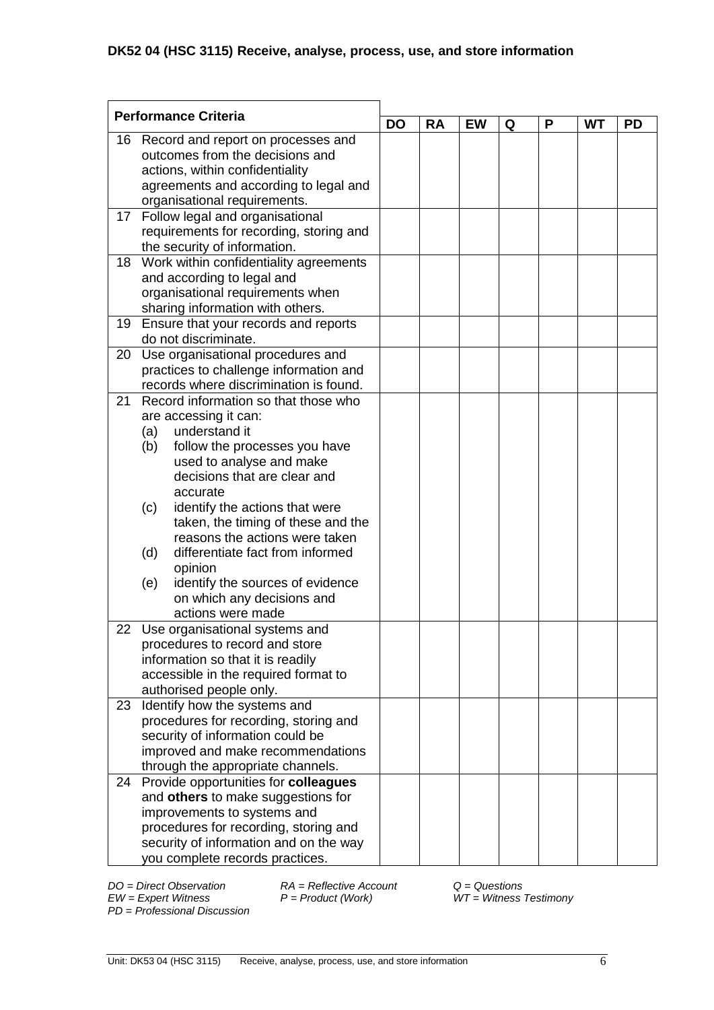| <b>Performance Criteria</b> |     | <b>DO</b>                                                                                                | <b>RA</b> | <b>EW</b> | Q | P | <b>WT</b> | <b>PD</b> |  |
|-----------------------------|-----|----------------------------------------------------------------------------------------------------------|-----------|-----------|---|---|-----------|-----------|--|
|                             |     | 16 Record and report on processes and<br>outcomes from the decisions and                                 |           |           |   |   |           |           |  |
|                             |     | actions, within confidentiality<br>agreements and according to legal and<br>organisational requirements. |           |           |   |   |           |           |  |
| 17                          |     | Follow legal and organisational                                                                          |           |           |   |   |           |           |  |
|                             |     | requirements for recording, storing and<br>the security of information.                                  |           |           |   |   |           |           |  |
|                             |     | 18 Work within confidentiality agreements                                                                |           |           |   |   |           |           |  |
|                             |     | and according to legal and                                                                               |           |           |   |   |           |           |  |
|                             |     | organisational requirements when<br>sharing information with others.                                     |           |           |   |   |           |           |  |
| 19                          |     | Ensure that your records and reports                                                                     |           |           |   |   |           |           |  |
|                             |     | do not discriminate.                                                                                     |           |           |   |   |           |           |  |
| 20                          |     | Use organisational procedures and                                                                        |           |           |   |   |           |           |  |
|                             |     | practices to challenge information and                                                                   |           |           |   |   |           |           |  |
|                             |     | records where discrimination is found.                                                                   |           |           |   |   |           |           |  |
| 21                          |     | Record information so that those who<br>are accessing it can:                                            |           |           |   |   |           |           |  |
|                             | (a) | understand it                                                                                            |           |           |   |   |           |           |  |
|                             | (b) | follow the processes you have                                                                            |           |           |   |   |           |           |  |
|                             |     | used to analyse and make                                                                                 |           |           |   |   |           |           |  |
|                             |     | decisions that are clear and                                                                             |           |           |   |   |           |           |  |
|                             |     | accurate                                                                                                 |           |           |   |   |           |           |  |
|                             | (c) | identify the actions that were                                                                           |           |           |   |   |           |           |  |
|                             |     | taken, the timing of these and the<br>reasons the actions were taken                                     |           |           |   |   |           |           |  |
|                             | (d) | differentiate fact from informed                                                                         |           |           |   |   |           |           |  |
|                             |     | opinion                                                                                                  |           |           |   |   |           |           |  |
|                             | (e) | identify the sources of evidence                                                                         |           |           |   |   |           |           |  |
|                             |     | on which any decisions and                                                                               |           |           |   |   |           |           |  |
|                             |     | actions were made                                                                                        |           |           |   |   |           |           |  |
|                             |     | 22 Use organisational systems and                                                                        |           |           |   |   |           |           |  |
|                             |     | procedures to record and store                                                                           |           |           |   |   |           |           |  |
|                             |     | information so that it is readily<br>accessible in the required format to                                |           |           |   |   |           |           |  |
|                             |     | authorised people only.                                                                                  |           |           |   |   |           |           |  |
| 23                          |     | Identify how the systems and                                                                             |           |           |   |   |           |           |  |
|                             |     | procedures for recording, storing and                                                                    |           |           |   |   |           |           |  |
|                             |     | security of information could be                                                                         |           |           |   |   |           |           |  |
|                             |     | improved and make recommendations                                                                        |           |           |   |   |           |           |  |
|                             |     | through the appropriate channels.                                                                        |           |           |   |   |           |           |  |
| 24                          |     | Provide opportunities for colleagues                                                                     |           |           |   |   |           |           |  |
|                             |     | and others to make suggestions for                                                                       |           |           |   |   |           |           |  |
|                             |     | improvements to systems and<br>procedures for recording, storing and                                     |           |           |   |   |           |           |  |
|                             |     | security of information and on the way                                                                   |           |           |   |   |           |           |  |
|                             |     | you complete records practices.                                                                          |           |           |   |   |           |           |  |

*DO = Direct Observation RA = Reflective Account Q = Questions*

*PD* = *Professional Discussion*

*EW = Expert Witness P = Product (Work) WT = Witness Testimony*